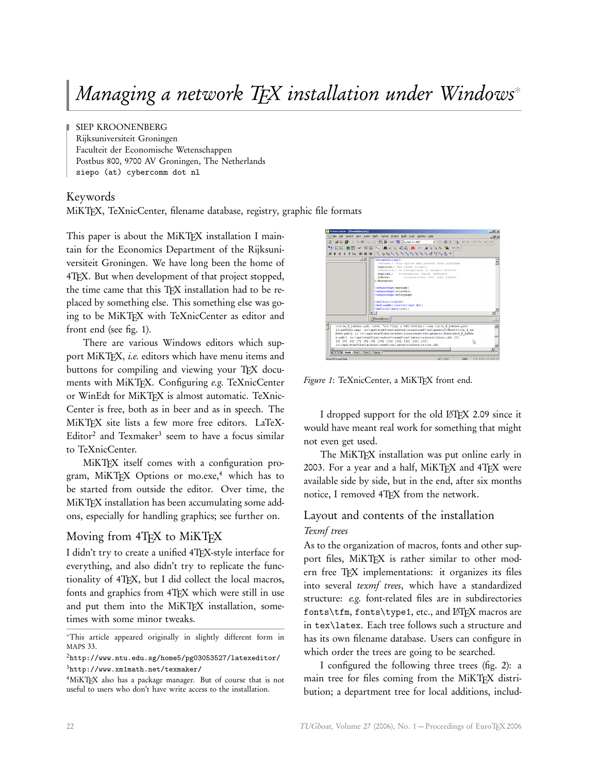# *Managing a network TEX installation under Windows*<sup>∗</sup>

SIEP KROONENBERG Rijksuniversiteit Groningen Faculteit der Economische Wetenschappen Postbus 800, 9700 AV Groningen, The Netherlands siepo (at) cybercomm dot nl

## Keywords

MiKTEX, TeXnicCenter, filename database, registry, graphic file formats

This paper is about the MiKT<sub>EX</sub> installation I maintain for the Economics Department of the Rijksuniversiteit Groningen. We have long been the home of 4TEX. But when development of that project stopped, the time came that this TFX installation had to be replaced by something else. This something else was going to be MiKTFX with TeXnicCenter as editor and front end (see fig. 1).

There are various Windows editors which support MiKTFX, *i.e.* editors which have menu items and buttons for compiling and viewing your TFX documents with MiKTEX. Configuring *e.g.* TeXnicCenter or WinEdt for MiKTFX is almost automatic. TeXnic-Center is free, both as in beer and as in speech. The MiKTFX site lists a few more free editors. LaTeX-Editor<sup>2</sup> and Texmaker<sup>3</sup> seem to have a focus similar to TeXnicCenter.

MiKT<sub>EX</sub> itself comes with a configuration program, MiKTEX Options or mo.exe,<sup>4</sup> which has to be started from outside the editor. Over time, the MiKT<sub>F</sub>X installation has been accumulating some addons, especially for handling graphics; see further on.

# Moving from 4TFX to MiKTFX

I didn't try to create a unified 4TEX-style interface for everything, and also didn't try to replicate the functionality of 4TEX, but I did collect the local macros, fonts and graphics from 4T<sub>F</sub>X which were still in use and put them into the MiKTEX installation, sometimes with some minor tweaks.



Figure 1: TeXnicCenter, a MiKTEX front end.

I dropped support for the old LAT<sub>EX</sub> 2.09 since it would have meant real work for something that might not even get used.

The MiKTFX installation was put online early in 2003. For a year and a half, MiKTFX and 4TFX were available side by side, but in the end, after six months notice, I removed 4TEX from the network.

# Layout and contents of the installation *Texmf trees*

As to the organization of macros, fonts and other support files, MiKTEX is rather similar to other modern free TEX implementations: it organizes its files into several *texmf trees*, which have a standardized structure: *e.g.* font-related files are in subdirectories fonts\tfm, fonts\type1, etc., and LATEX macros are in tex\latex. Each tree follows such a structure and has its own filename database. Users can configure in which order the trees are going to be searched.

I configured the following three trees (fig. 2): a main tree for files coming from the MiKTFX distribution; a department tree for local additions, includ-

<sup>∗</sup>This article appeared originally in slightly different form in MAPS 33.

<sup>2</sup>http://www.ntu.edu.sg/home5/pg03053527/latexeditor/ <sup>3</sup>http://www.xm1math.net/texmaker/

<sup>4</sup>MiKTEX also has a package manager. But of course that is not useful to users who don't have write access to the installation.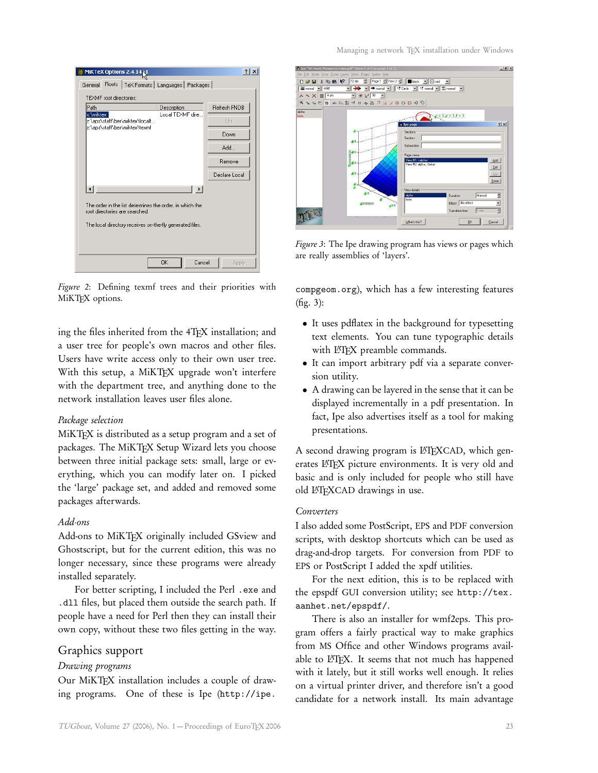| MiKTeX Options 2.4.1451                                                                                                                                | $ ?  \times$        |  |  |  |
|--------------------------------------------------------------------------------------------------------------------------------------------------------|---------------------|--|--|--|
| Roots   TeX Formats   Languages   Packages  <br>General                                                                                                |                     |  |  |  |
| <b>TEXMF</b> root directories:                                                                                                                         |                     |  |  |  |
| Path<br>Description                                                                                                                                    | <b>Refresh FNDB</b> |  |  |  |
| Local TEXMF dire<br>x:\miktex<br>z:\aps\staff\ber\miktex\localt                                                                                        | Up.                 |  |  |  |
| z:\aps\staff\ber\miktex\texmf                                                                                                                          | Down                |  |  |  |
|                                                                                                                                                        | Add                 |  |  |  |
|                                                                                                                                                        | Remove              |  |  |  |
|                                                                                                                                                        | Declare Local       |  |  |  |
|                                                                                                                                                        |                     |  |  |  |
| The order in the list determines the order, in which the<br>root directories are searched.<br>The local directory receives on the fly generated files. |                     |  |  |  |
|                                                                                                                                                        |                     |  |  |  |
| 0K<br>Cancel                                                                                                                                           | Apply               |  |  |  |

*Figure 2*: Defining texmf trees and their priorities with MiKT<sub>F</sub>X options.

ing the files inherited from the 4TFX installation; and a user tree for people's own macros and other files. Users have write access only to their own user tree. With this setup, a MiKTEX upgrade won't interfere with the department tree, and anything done to the network installation leaves user files alone.

# *Package selection*

MiKTEX is distributed as a setup program and a set of packages. The MiKTEX Setup Wizard lets you choose between three initial package sets: small, large or everything, which you can modify later on. I picked the 'large' package set, and added and removed some packages afterwards.

# *Add-ons*

Add-ons to MiKTFX originally included GSview and Ghostscript, but for the current edition, this was no longer necessary, since these programs were already installed separately.

For better scripting, I included the Perl . exe and .dll files, but placed them outside the search path. If people have a need for Perl then they can install their own copy, without these two files getting in the way.

# Graphics support

# *Drawing programs*

Our MiKTEX installation includes a couple of drawing programs. One of these is Ipe (http://ipe.



*Figure 3*: The Ipe drawing program has views or pages which are really assemblies of 'layers'.

compgeom.org), which has a few interesting features (fig. 3):

- It uses pdflatex in the background for typesetting text elements. You can tune typographic details with L<sup>AT</sup>FX preamble commands.
- It can import arbitrary pdf via a separate conversion utility.
- A drawing can be layered in the sense that it can be displayed incrementally in a pdf presentation. In fact, Ipe also advertises itself as a tool for making presentations.

A second drawing program is LATEXCAD, which generates LHFX picture environments. It is very old and basic and is only included for people who still have old LATFXCAD drawings in use.

#### *Converters*

I also added some PostScript, EPS and PDF conversion scripts, with desktop shortcuts which can be used as drag-and-drop targets. For conversion from PDF to EPS or PostScript I added the xpdf utilities.

For the next edition, this is to be replaced with the epspdf GUI conversion utility; see http://tex. aanhet.net/epspdf/.

There is also an installer for wmf2eps. This program offers a fairly practical way to make graphics from MS Office and other Windows programs available to LATEX. It seems that not much has happened with it lately, but it still works well enough. It relies on a virtual printer driver, and therefore isn't a good candidate for a network install. Its main advantage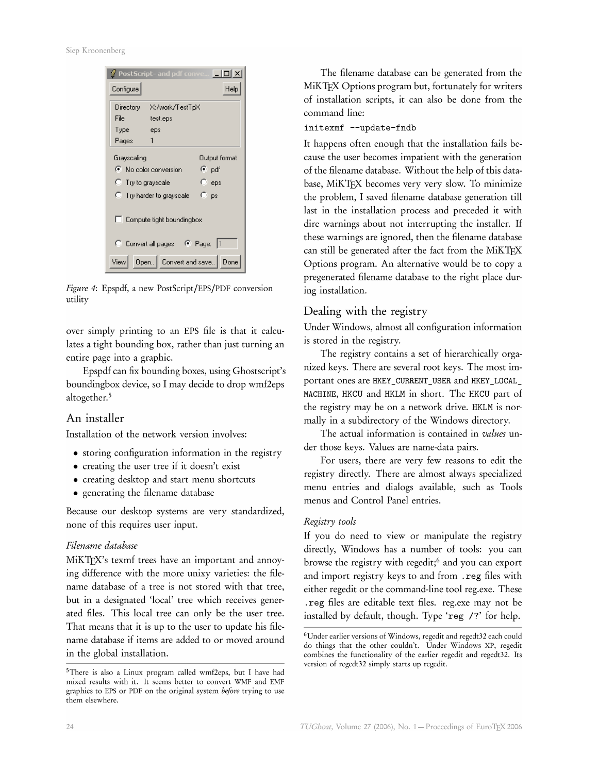Siep Kroonenberg

|                                                              | PostScript- and pdf conve | ×                |
|--------------------------------------------------------------|---------------------------|------------------|
| Configure                                                    |                           | Help             |
|                                                              | Directory X:/work/TestTpX |                  |
| File                                                         | test.eps                  |                  |
| Type                                                         | eps                       |                  |
| Pages                                                        | 1                         |                  |
| Grayscaling                                                  |                           | Output format    |
|                                                              | C No color conversion     | (•̃pdf           |
| C Try to grayscale                                           |                           | $\mathbb{C}$ eps |
| Свs<br>$\heartsuit$ . Try harder to grayscale $\blacksquare$ |                           |                  |
| Ⅰ Eompute tight boundingbox                                  |                           |                  |
| C Convert all pages C Page:                                  |                           |                  |
| View                                                         | Open Convert and save     | Done             |

Figure 4: Epspdf, a new PostScript/EPS/PDF conversion utility

over simply printing to an EPS file is that it calculates a tight bounding box, rather than just turning an entire page into a graphic.

Epspdf can fix bounding boxes, using Ghostscript's boundingbox device, so I may decide to drop wmf2eps altogether.<sup>5</sup>

# An installer

Installation of the network version involves:

- storing configuration information in the registry
- creating the user tree if it doesn't exist
- creating desktop and start menu shortcuts
- generating the filename database

Because our desktop systems are very standardized, none of this requires user input.

# Filename database

MiKTFX's texmf trees have an important and annoying difference with the more unixy varieties: the filename database of a tree is not stored with that tree, but in a designated 'local' tree which receives generated files. This local tree can only be the user tree. That means that it is up to the user to update his filename database if items are added to or moved around in the global installation.

The filename database can be generated from the MiKTEX Options program but, fortunately for writers of installation scripts, it can also be done from the command line:

# initexmf --update-fndb

It happens often enough that the installation fails because the user becomes impatient with the generation of the filename database. Without the help of this database, MiKTEX becomes very very slow. To minimize the problem, I saved filename database generation till last in the installation process and preceded it with dire warnings about not interrupting the installer. If these warnings are ignored, then the filename database can still be generated after the fact from the MiKTFX Options program. An alternative would be to copy a pregenerated filename database to the right place during installation.

# Dealing with the registry

Under Windows, almost all configuration information is stored in the registry.

The registry contains a set of hierarchically organized keys. There are several root keys. The most important ones are HKEY\_CURRENT\_USER and HKEY\_LOCAL\_ MACHINE, HKCU and HKLM in short. The HKCU part of the registry may be on a network drive. HKLM is normally in a subdirectory of the Windows directory.

The actual information is contained in values under those keys. Values are name-data pairs.

For users, there are very few reasons to edit the registry directly. There are almost always specialized menu entries and dialogs available, such as Tools menus and Control Panel entries.

# Registry tools

If you do need to view or manipulate the registry directly, Windows has a number of tools: you can browse the registry with regedit;<sup>6</sup> and you can export and import registry keys to and from . reg files with either regedit or the command-line tool reg.exe. These . reg files are editable text files. reg.exe may not be installed by default, though. Type 'reg /?' for help.

<sup>&</sup>lt;sup>5</sup>There is also a Linux program called wmf2eps, but I have had mixed results with it. It seems better to convert WMF and EMF graphics to EPS or PDF on the original system before trying to use them elsewhere.

<sup>&</sup>lt;sup>6</sup>Under earlier versions of Windows, regedit and regedt32 each could do things that the other couldn't. Under Windows XP, regedit combines the functionality of the earlier regedit and regedt32. Its version of regedt32 simply starts up regedit.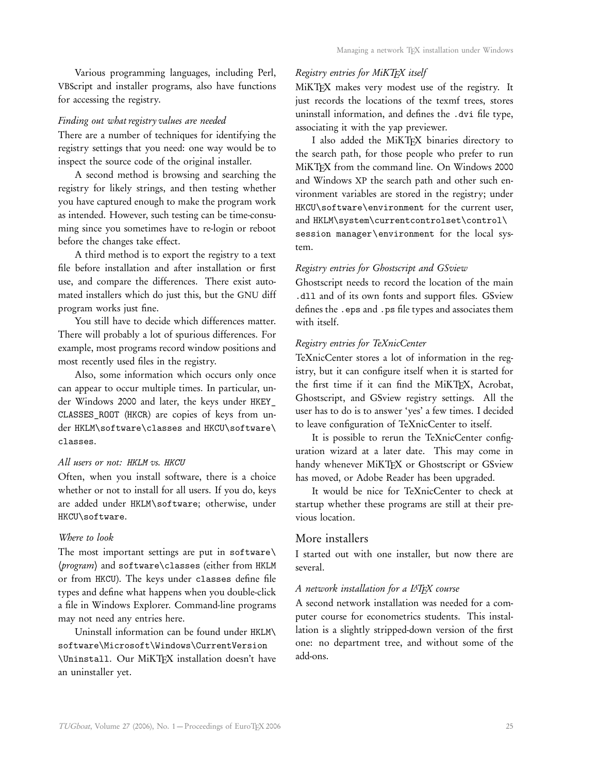Various programming languages, including Perl, VBScript and installer programs, also have functions for accessing the registry.

#### *Finding out what registry values are needed*

There are a number of techniques for identifying the registry settings that you need: one way would be to inspect the source code of the original installer.

A second method is browsing and searching the registry for likely strings, and then testing whether you have captured enough to make the program work as intended. However, such testing can be time-consuming since you sometimes have to re-login or reboot before the changes take effect.

A third method is to export the registry to a text file before installation and after installation or first use, and compare the differences. There exist automated installers which do just this, but the GNU diff program works just fine.

You still have to decide which differences matter. There will probably a lot of spurious differences. For example, most programs record window positions and most recently used files in the registry.

Also, some information which occurs only once can appear to occur multiple times. In particular, under Windows 2000 and later, the keys under HKEY\_ CLASSES\_ROOT (HKCR) are copies of keys from under HKLM\software\classes and HKCU\software\ classes.

#### *All users or not: HKLM vs. HKCU*

Often, when you install software, there is a choice whether or not to install for all users. If you do, keys are added under HKLM\software; otherwise, under HKCU\software.

# *Where to look*

The most important settings are put in software\ 〈*program*〉 and software\classes (either from HKLM or from HKCU). The keys under classes define file types and define what happens when you double-click a file in Windows Explorer. Command-line programs may not need any entries here.

Uninstall information can be found under HKLM\ software\Microsoft\Windows\CurrentVersion \Uninstall. Our MiKTEX installation doesn't have an uninstaller yet.

## *Registry entries for MiKTEX itself*

MiKTFX makes very modest use of the registry. It just records the locations of the texmf trees, stores uninstall information, and defines the .dvi file type, associating it with the yap previewer.

I also added the MiKTFX binaries directory to the search path, for those people who prefer to run MiKT<sub>F</sub>X from the command line. On Windows 2000 and Windows XP the search path and other such environment variables are stored in the registry; under HKCU\software\environment for the current user, and HKLM\system\currentcontrolset\control\ session manager\environment for the local system.

# *Registry entries for Ghostscript and GSview*

Ghostscript needs to record the location of the main .dll and of its own fonts and support files. GSview defines the .eps and .ps file types and associates them with itself.

# *Registry entries for TeXnicCenter*

TeXnicCenter stores a lot of information in the registry, but it can configure itself when it is started for the first time if it can find the MiKTEX, Acrobat, Ghostscript, and GSview registry settings. All the user has to do is to answer 'yes' a few times. I decided to leave configuration of TeXnicCenter to itself.

It is possible to rerun the TeXnicCenter configuration wizard at a later date. This may come in handy whenever MiKTEX or Ghostscript or GSview has moved, or Adobe Reader has been upgraded.

It would be nice for TeXnicCenter to check at startup whether these programs are still at their previous location.

#### More installers

I started out with one installer, but now there are several.

#### *A network installation for a LATEX course*

A second network installation was needed for a computer course for econometrics students. This installation is a slightly stripped-down version of the first one: no department tree, and without some of the add-ons.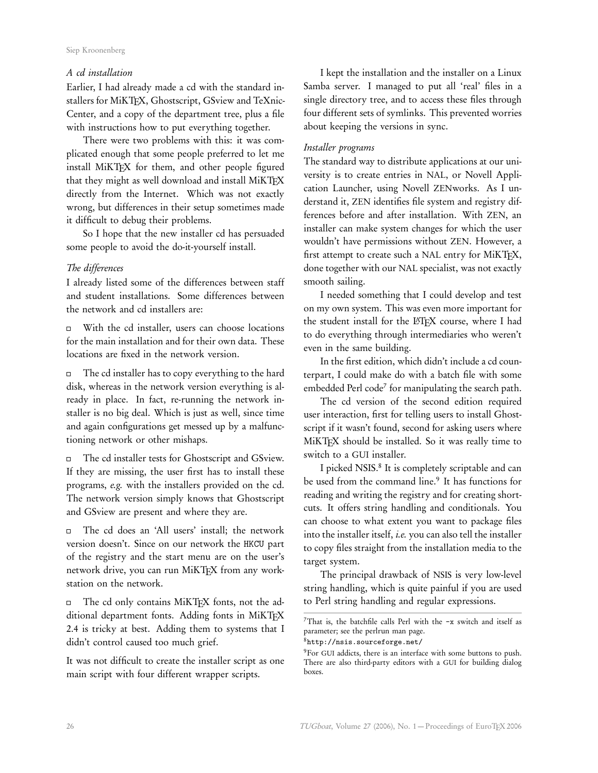#### Siep Kroonenberg

# *A cd installation*

Earlier, I had already made a cd with the standard installers for MiKTEX, Ghostscript, GSview and TeXnic-Center, and a copy of the department tree, plus a file with instructions how to put everything together.

There were two problems with this: it was complicated enough that some people preferred to let me install MiKTEX for them, and other people figured that they might as well download and install MiKTEX directly from the Internet. Which was not exactly wrong, but differences in their setup sometimes made it difficult to debug their problems.

So I hope that the new installer cd has persuaded some people to avoid the do-it-yourself install.

# *The differences*

I already listed some of the differences between staff and student installations. Some differences between the network and cd installers are:

With the cd installer, users can choose locations  $\Box$ for the main installation and for their own data. These locations are fixed in the network version.

The cd installer has to copy everything to the hard  $\Box$ disk, whereas in the network version everything is already in place. In fact, re-running the network installer is no big deal. Which is just as well, since time and again configurations get messed up by a malfunctioning network or other mishaps.

The cd installer tests for Ghostscript and GSview.  $\Box$ If they are missing, the user first has to install these programs, *e.g.* with the installers provided on the cd. The network version simply knows that Ghostscript and GSview are present and where they are.

The cd does an 'All users' install; the network  $\Box$ version doesn't. Since on our network the HKCU part of the registry and the start menu are on the user's network drive, you can run MiKTEX from any workstation on the network.

The cd only contains MiKTEX fonts, not the ad- $\Box$ ditional department fonts. Adding fonts in MiKTEX 2.4 is tricky at best. Adding them to systems that I didn't control caused too much grief.

It was not difficult to create the installer script as one main script with four different wrapper scripts.

I kept the installation and the installer on a Linux Samba server. I managed to put all 'real' files in a single directory tree, and to access these files through four different sets of symlinks. This prevented worries about keeping the versions in sync.

# *Installer programs*

The standard way to distribute applications at our university is to create entries in NAL, or Novell Application Launcher, using Novell ZENworks. As I understand it, ZEN identifies file system and registry differences before and after installation. With ZEN, an installer can make system changes for which the user wouldn't have permissions without ZEN. However, a first attempt to create such a NAL entry for MiKTEX, done together with our NAL specialist, was not exactly smooth sailing.

I needed something that I could develop and test on my own system. This was even more important for the student install for the LATEX course, where I had to do everything through intermediaries who weren't even in the same building.

In the first edition, which didn't include a cd counterpart, I could make do with a batch file with some embedded Perl code<sup>7</sup> for manipulating the search path.

The cd version of the second edition required user interaction, first for telling users to install Ghostscript if it wasn't found, second for asking users where MiKTEX should be installed. So it was really time to switch to a GUI installer.

I picked NSIS.<sup>8</sup> It is completely scriptable and can be used from the command line.<sup>9</sup> It has functions for reading and writing the registry and for creating shortcuts. It offers string handling and conditionals. You can choose to what extent you want to package files into the installer itself, *i.e.* you can also tell the installer to copy files straight from the installation media to the target system.

The principal drawback of NSIS is very low-level string handling, which is quite painful if you are used to Perl string handling and regular expressions.

<sup>8</sup>http://nsis.sourceforge.net/

<sup>7</sup>That is, the batchfile calls Perl with the -x switch and itself as parameter; see the perlrun man page.

<sup>9</sup>For GUI addicts, there is an interface with some buttons to push. There are also third-party editors with a GUI for building dialog boxes.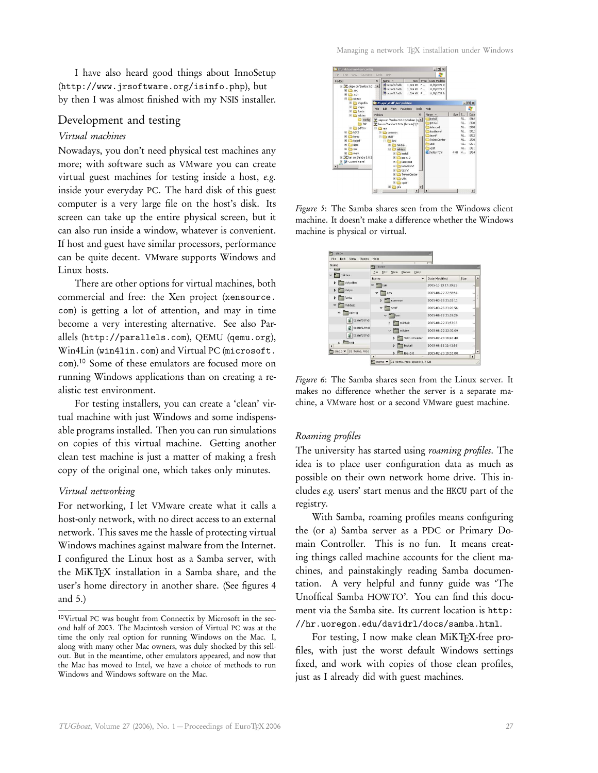I have also heard good things about InnoSetup (http://www.jrsoftware.org/isinfo.php), but by then I was almost finished with my NSIS installer.

# Development and testing

# *Virtual machines*

Nowadays, you don't need physical test machines any more; with software such as VMware you can create virtual guest machines for testing inside a host, *e.g.* inside your everyday PC. The hard disk of this guest computer is a very large file on the host's disk. Its screen can take up the entire physical screen, but it can also run inside a window, whatever is convenient. If host and guest have similar processors, performance can be quite decent. VMware supports Windows and Linux hosts.

There are other options for virtual machines, both commercial and free: the Xen project (xensource. com) is getting a lot of attention, and may in time become a very interesting alternative. See also Parallels (http://parallels.com), QEMU (qemu.org), Win4Lin (win4lin.com) and Virtual PC (microsoft. com).<sup>10</sup> Some of these emulators are focused more on running Windows applications than on creating a realistic test environment.

For testing installers, you can create a 'clean' virtual machine with just Windows and some indispensable programs installed. Then you can run simulations on copies of this virtual machine. Getting another clean test machine is just a matter of making a fresh copy of the original one, which takes only minutes.

#### *Virtual networking*

For networking, I let VMware create what it calls a host-only network, with no direct access to an external network. This saves me the hassle of protecting virtual Windows machines against malware from the Internet. I configured the Linux host as a Samba server, with the MiKTEX installation in a Samba share, and the user's home directory in another share. (See figures 4 and 5.)



*Figure 5*: The Samba shares seen from the Windows client machine. It doesn't make a difference whether the Windows machine is physical or virtual.

| F<br>siepo                     |                                                           |                     |                       |
|--------------------------------|-----------------------------------------------------------|---------------------|-----------------------|
| Edit<br>File<br>View<br>Places | Help                                                      |                     |                       |
| Name                           | home                                                      |                     | 面                     |
| miktex<br>$\triangledown$      | Edit<br>Help<br>View<br>Places<br>File                    |                     |                       |
| dvipdfm<br>b                   | Name<br>÷                                                 | Date Modified       | Size<br>۰             |
|                                | 1 Ian<br>$\overline{\mathbf{v}}$                          | 2005-10-13 17:39:29 | ÷                     |
| dvips<br>Þ.                    | aps<br>v                                                  | 2005-08-22 22:55:54 | S.                    |
| fonts<br>b                     | Þ<br>common                                               | 2005-03-26 21:32:11 | ÷                     |
| miktex<br>$\blacktriangledown$ | v<br>$\Box$ staff                                         | 2005-03-26 21:26:56 | $\sim$                |
| config<br>$\blacktriangledown$ | ber<br>$\overline{v}$                                     | 2005-08-22 21:19:20 | $\ddot{\phantom{0}}$  |
| texmf0.fndl                    | mikbak<br>Þ                                               | 2005-08-22 21:57:15 | S.                    |
| texmf1.fndt                    | miktex<br>$\overline{\nabla}$                             | 2005-08-22 22:31:09 | $\sim$                |
| texmf2.fndl                    | TeXnicCenter<br>b                                         | 2005-02-20 18:40:48 | ä,                    |
| $D$ $P$ fmt<br>$\overline{A}$  | Install<br>b                                              | 2005-08-12 12:42:56 | $\scriptstyle\rm ex$  |
| 32 items, Free<br>siepo v      | $\triangleright$ Tipe-6.0                                 | 2005-02-20 18:33:00 |                       |
|                                | $\overline{ }$<br><b>Hara</b>                             |                     | $\blacktriangleright$ |
|                                | home $\blacktriangledown$<br>11 items, Free space: 8.7 GB |                     |                       |

*Figure 6*: The Samba shares seen from the Linux server. It makes no difference whether the server is a separate machine, a VMware host or a second VMware guest machine.

#### *Roaming profiles*

The university has started using *roaming profiles*. The idea is to place user configuration data as much as possible on their own network home drive. This includes *e.g.* users' start menus and the HKCU part of the registry.

With Samba, roaming profiles means configuring the (or a) Samba server as a PDC or Primary Domain Controller. This is no fun. It means creating things called machine accounts for the client machines, and painstakingly reading Samba documentation. A very helpful and funny guide was 'The Unoffical Samba HOWTO'. You can find this document via the Samba site. Its current location is http: //hr.uoregon.edu/davidrl/docs/samba.html.

For testing, I now make clean MiKTEX-free profiles, with just the worst default Windows settings fixed, and work with copies of those clean profiles, just as I already did with guest machines.

<sup>10</sup>Virtual PC was bought from Connectix by Microsoft in the second half of 2003. The Macintosh version of Virtual PC was at the time the only real option for running Windows on the Mac. I, along with many other Mac owners, was duly shocked by this sellout. But in the meantime, other emulators appeared, and now that the Mac has moved to Intel, we have a choice of methods to run Windows and Windows software on the Mac.